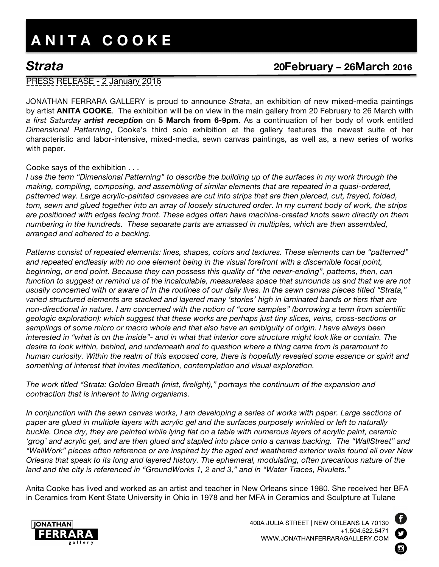# **A N I T A C O O K E**

# *Strata* **20February – 26March <sup>2016</sup>**

## PRESS RELEASE - 2 January 2016

JONATHAN FERRARA GALLERY is proud to announce *Strata*, an exhibition of new mixed-media paintings by artist **ANITA COOKE***.* The exhibition will be on view in the main gallery from 20 February to 26 March with *a first Saturday artist receptio***n** on **5 March from 6-9pm**. As a continuation of her body of work entitled *Dimensional Patterning*, Cooke's third solo exhibition at the gallery features the newest suite of her characteristic and labor-intensive, mixed-media, sewn canvas paintings, as well as, a new series of works with paper.

### Cooke says of the exhibition . . .

*I use the term "Dimensional Patterning" to describe the building up of the surfaces in my work through the making, compiling, composing, and assembling of similar elements that are repeated in a quasi-ordered, patterned way. Large acrylic-painted canvases are cut into strips that are then pierced, cut, frayed, folded, torn, sewn and glued together into an array of loosely structured order. In my current body of work, the strips are positioned with edges facing front. These edges often have machine-created knots sewn directly on them numbering in the hundreds. These separate parts are amassed in multiples, which are then assembled, arranged and adhered to a backing.*

*Patterns consist of repeated elements: lines, shapes, colors and textures. These elements can be "patterned" and repeated endlessly with no one element being in the visual forefront with a discernible focal point, beginning, or end point. Because they can possess this quality of "the never-ending", patterns, then, can*  function to suggest or remind us of the incalculable, measureless space that surrounds us and that we are not *usually concerned with or aware of in the routines of our daily lives. In the sewn canvas pieces titled "Strata," varied structured elements are stacked and layered many 'stories' high in laminated bands or tiers that are non-directional in nature. I am concerned with the notion of "core samples" (borrowing a term from scientific geologic exploration): which suggest that these works are perhaps just tiny slices, veins, cross-sections or samplings of some micro or macro whole and that also have an ambiguity of origin. I have always been interested in "what is on the inside"- and in what that interior core structure might look like or contain. The desire to look within, behind, and underneath and to question where a thing came from is paramount to human curiosity. Within the realm of this exposed core, there is hopefully revealed some essence or spirit and something of interest that invites meditation, contemplation and visual exploration.* 

*The work titled "Strata: Golden Breath (mist, firelight)," portrays the continuum of the expansion and contraction that is inherent to living organisms.*

*In conjunction with the sewn canvas works, I am developing a series of works with paper. Large sections of paper are glued in multiple layers with acrylic gel and the surfaces purposely wrinkled or left to naturally buckle. Once dry, they are painted while lying flat on a table with numerous layers of acrylic paint, ceramic*  'grog' and acrylic gel, and are then glued and stapled into place onto a canvas backing. The "WallStreet" and *"WallWork" pieces often reference or are inspired by the aged and weathered exterior walls found all over New Orleans that speak to its long and layered history. The ephemeral, modulating, often precarious nature of the land and the city is referenced in "GroundWorks 1, 2 and 3," and in "Water Traces, Rivulets."*

Anita Cooke has lived and worked as an artist and teacher in New Orleans since 1980. She received her BFA in Ceramics from Kent State University in Ohio in 1978 and her MFA in Ceramics and Sculpture at Tulane